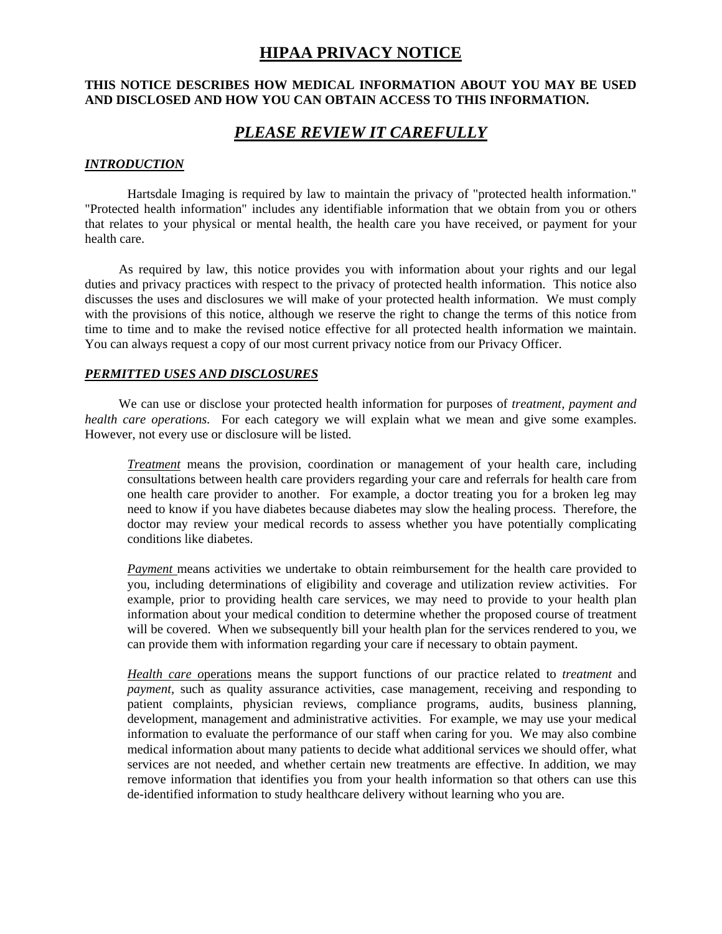# **HIPAA PRIVACY NOTICE**

# **THIS NOTICE DESCRIBES HOW MEDICAL INFORMATION ABOUT YOU MAY BE USED AND DISCLOSED AND HOW YOU CAN OBTAIN ACCESS TO THIS INFORMATION.**

# *PLEASE REVIEW IT CAREFULLY*

## *INTRODUCTION*

Hartsdale Imaging is required by law to maintain the privacy of "protected health information." "Protected health information" includes any identifiable information that we obtain from you or others that relates to your physical or mental health, the health care you have received, or payment for your health care.

As required by law, this notice provides you with information about your rights and our legal duties and privacy practices with respect to the privacy of protected health information. This notice also discusses the uses and disclosures we will make of your protected health information. We must comply with the provisions of this notice, although we reserve the right to change the terms of this notice from time to time and to make the revised notice effective for all protected health information we maintain. You can always request a copy of our most current privacy notice from our Privacy Officer.

#### *PERMITTED USES AND DISCLOSURES*

We can use or disclose your protected health information for purposes of *treatment, payment and health care operations.* For each category we will explain what we mean and give some examples. However, not every use or disclosure will be listed.

*Treatment* means the provision, coordination or management of your health care, including consultations between health care providers regarding your care and referrals for health care from one health care provider to another. For example, a doctor treating you for a broken leg may need to know if you have diabetes because diabetes may slow the healing process. Therefore, the doctor may review your medical records to assess whether you have potentially complicating conditions like diabetes.

*Payment* means activities we undertake to obtain reimbursement for the health care provided to you, including determinations of eligibility and coverage and utilization review activities. For example, prior to providing health care services, we may need to provide to your health plan information about your medical condition to determine whether the proposed course of treatment will be covered. When we subsequently bill your health plan for the services rendered to you, we can provide them with information regarding your care if necessary to obtain payment.

*Health care o*perations means the support functions of our practice related to *treatment* and *payment*, such as quality assurance activities, case management, receiving and responding to patient complaints, physician reviews, compliance programs, audits, business planning, development, management and administrative activities. For example, we may use your medical information to evaluate the performance of our staff when caring for you. We may also combine medical information about many patients to decide what additional services we should offer, what services are not needed, and whether certain new treatments are effective. In addition, we may remove information that identifies you from your health information so that others can use this de-identified information to study healthcare delivery without learning who you are.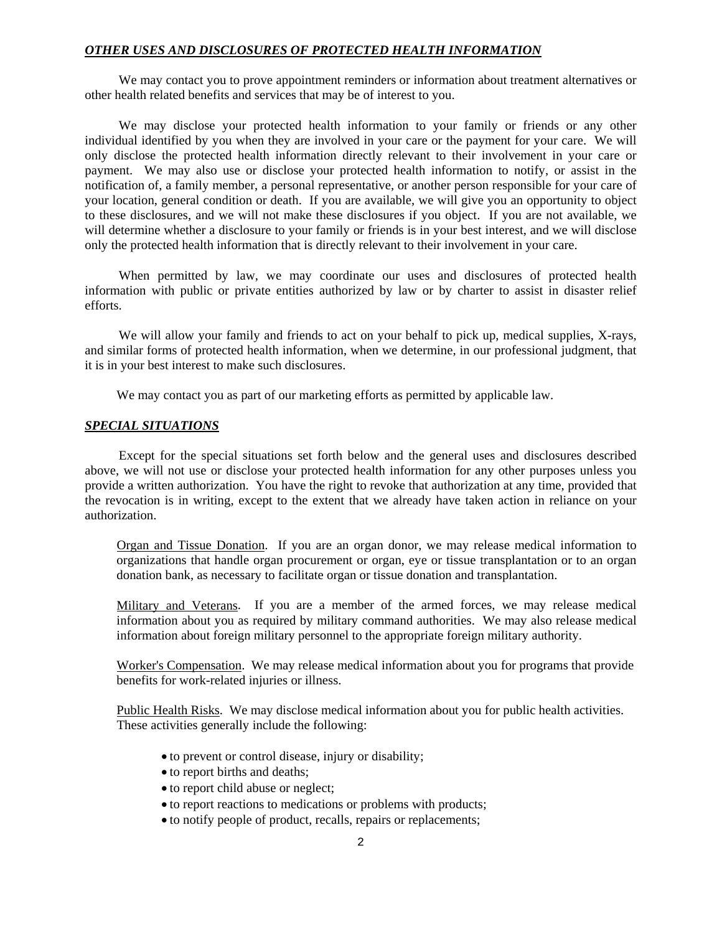### *OTHER USES AND DISCLOSURES OF PROTECTED HEALTH INFORMATION*

 We may contact you to prove appointment reminders or information about treatment alternatives or other health related benefits and services that may be of interest to you.

We may disclose your protected health information to your family or friends or any other individual identified by you when they are involved in your care or the payment for your care. We will only disclose the protected health information directly relevant to their involvement in your care or payment. We may also use or disclose your protected health information to notify, or assist in the notification of, a family member, a personal representative, or another person responsible for your care of your location, general condition or death. If you are available, we will give you an opportunity to object to these disclosures, and we will not make these disclosures if you object. If you are not available, we will determine whether a disclosure to your family or friends is in your best interest, and we will disclose only the protected health information that is directly relevant to their involvement in your care.

When permitted by law, we may coordinate our uses and disclosures of protected health information with public or private entities authorized by law or by charter to assist in disaster relief efforts.

We will allow your family and friends to act on your behalf to pick up, medical supplies, X-rays, and similar forms of protected health information, when we determine, in our professional judgment, that it is in your best interest to make such disclosures.

We may contact you as part of our marketing efforts as permitted by applicable law.

#### *SPECIAL SITUATIONS*

Except for the special situations set forth below and the general uses and disclosures described above, we will not use or disclose your protected health information for any other purposes unless you provide a written authorization. You have the right to revoke that authorization at any time, provided that the revocation is in writing, except to the extent that we already have taken action in reliance on your authorization.

Organ and Tissue Donation. If you are an organ donor, we may release medical information to organizations that handle organ procurement or organ, eye or tissue transplantation or to an organ donation bank, as necessary to facilitate organ or tissue donation and transplantation.

Military and Veterans. If you are a member of the armed forces, we may release medical information about you as required by military command authorities. We may also release medical information about foreign military personnel to the appropriate foreign military authority.

Worker's Compensation. We may release medical information about you for programs that provide benefits for work-related injuries or illness.

Public Health Risks. We may disclose medical information about you for public health activities. These activities generally include the following:

- to prevent or control disease, injury or disability;
- to report births and deaths;
- to report child abuse or neglect;
- to report reactions to medications or problems with products;
- to notify people of product, recalls, repairs or replacements;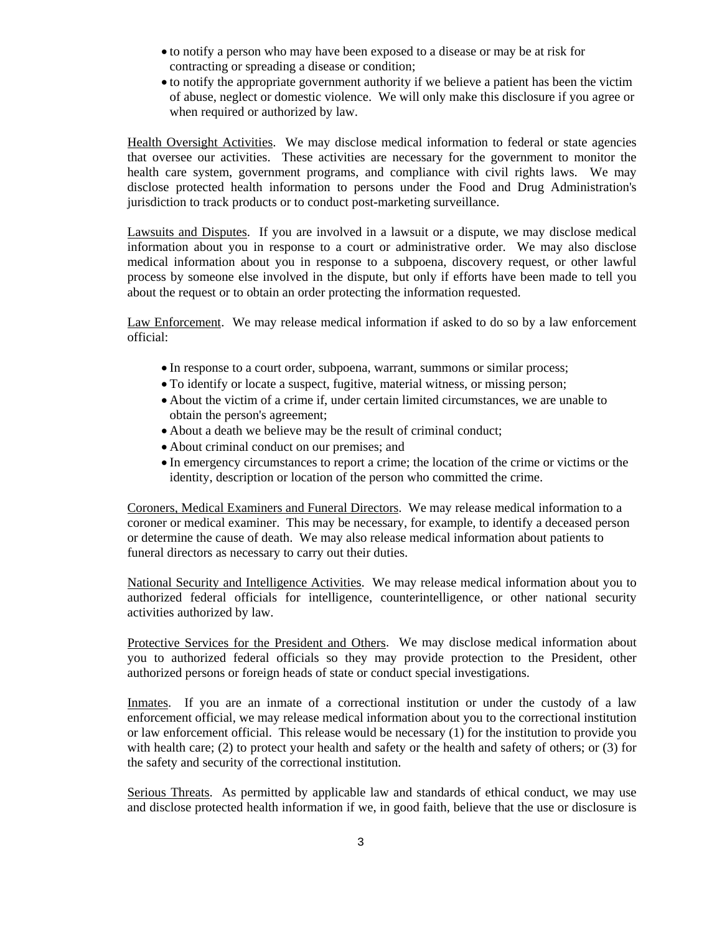- to notify a person who may have been exposed to a disease or may be at risk for contracting or spreading a disease or condition;
- to notify the appropriate government authority if we believe a patient has been the victim of abuse, neglect or domestic violence. We will only make this disclosure if you agree or when required or authorized by law.

Health Oversight Activities. We may disclose medical information to federal or state agencies that oversee our activities. These activities are necessary for the government to monitor the health care system, government programs, and compliance with civil rights laws. We may disclose protected health information to persons under the Food and Drug Administration's jurisdiction to track products or to conduct post-marketing surveillance.

Lawsuits and Disputes. If you are involved in a lawsuit or a dispute, we may disclose medical information about you in response to a court or administrative order. We may also disclose medical information about you in response to a subpoena, discovery request, or other lawful process by someone else involved in the dispute, but only if efforts have been made to tell you about the request or to obtain an order protecting the information requested.

Law Enforcement. We may release medical information if asked to do so by a law enforcement official:

- In response to a court order, subpoena, warrant, summons or similar process;
- To identify or locate a suspect, fugitive, material witness, or missing person;
- About the victim of a crime if, under certain limited circumstances, we are unable to obtain the person's agreement;
- About a death we believe may be the result of criminal conduct;
- About criminal conduct on our premises; and
- In emergency circumstances to report a crime; the location of the crime or victims or the identity, description or location of the person who committed the crime.

Coroners, Medical Examiners and Funeral Directors. We may release medical information to a coroner or medical examiner. This may be necessary, for example, to identify a deceased person or determine the cause of death. We may also release medical information about patients to funeral directors as necessary to carry out their duties.

National Security and Intelligence Activities. We may release medical information about you to authorized federal officials for intelligence, counterintelligence, or other national security activities authorized by law.

Protective Services for the President and Others. We may disclose medical information about you to authorized federal officials so they may provide protection to the President, other authorized persons or foreign heads of state or conduct special investigations.

Inmates. If you are an inmate of a correctional institution or under the custody of a law enforcement official, we may release medical information about you to the correctional institution or law enforcement official. This release would be necessary (1) for the institution to provide you with health care; (2) to protect your health and safety or the health and safety of others; or (3) for the safety and security of the correctional institution.

Serious Threats. As permitted by applicable law and standards of ethical conduct, we may use and disclose protected health information if we, in good faith, believe that the use or disclosure is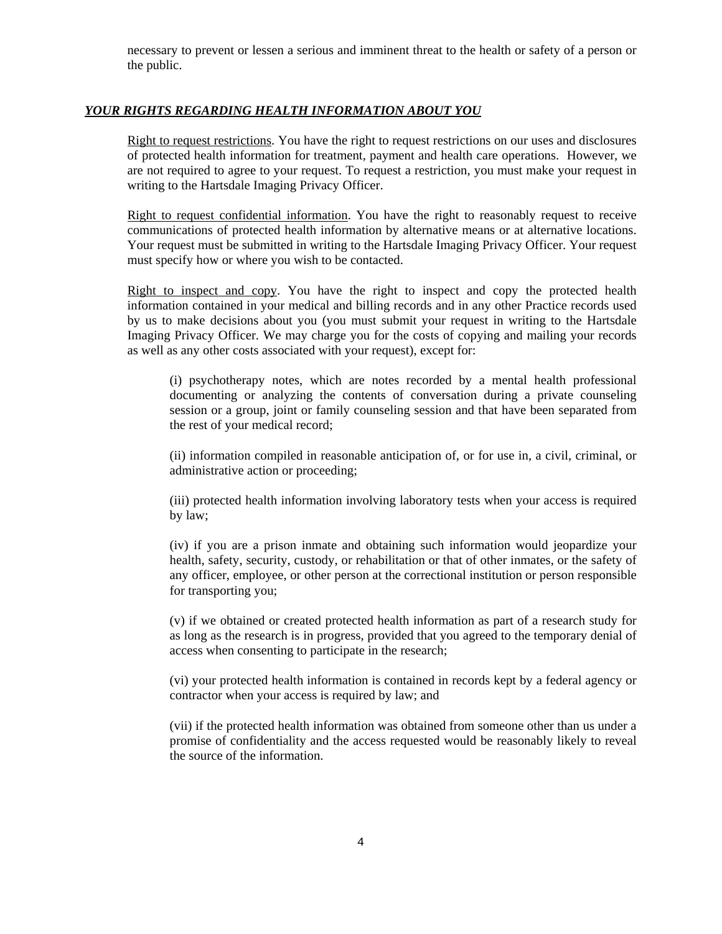necessary to prevent or lessen a serious and imminent threat to the health or safety of a person or the public.

# *YOUR RIGHTS REGARDING HEALTH INFORMATION ABOUT YOU*

Right to request restrictions. You have the right to request restrictions on our uses and disclosures of protected health information for treatment, payment and health care operations. However, we are not required to agree to your request. To request a restriction, you must make your request in writing to the Hartsdale Imaging Privacy Officer.

Right to request confidential information. You have the right to reasonably request to receive communications of protected health information by alternative means or at alternative locations. Your request must be submitted in writing to the Hartsdale Imaging Privacy Officer. Your request must specify how or where you wish to be contacted.

Right to inspect and copy. You have the right to inspect and copy the protected health information contained in your medical and billing records and in any other Practice records used by us to make decisions about you (you must submit your request in writing to the Hartsdale Imaging Privacy Officer. We may charge you for the costs of copying and mailing your records as well as any other costs associated with your request), except for:

(i) psychotherapy notes, which are notes recorded by a mental health professional documenting or analyzing the contents of conversation during a private counseling session or a group, joint or family counseling session and that have been separated from the rest of your medical record;

(ii) information compiled in reasonable anticipation of, or for use in, a civil, criminal, or administrative action or proceeding;

(iii) protected health information involving laboratory tests when your access is required by law;

(iv) if you are a prison inmate and obtaining such information would jeopardize your health, safety, security, custody, or rehabilitation or that of other inmates, or the safety of any officer, employee, or other person at the correctional institution or person responsible for transporting you;

(v) if we obtained or created protected health information as part of a research study for as long as the research is in progress, provided that you agreed to the temporary denial of access when consenting to participate in the research;

(vi) your protected health information is contained in records kept by a federal agency or contractor when your access is required by law; and

(vii) if the protected health information was obtained from someone other than us under a promise of confidentiality and the access requested would be reasonably likely to reveal the source of the information.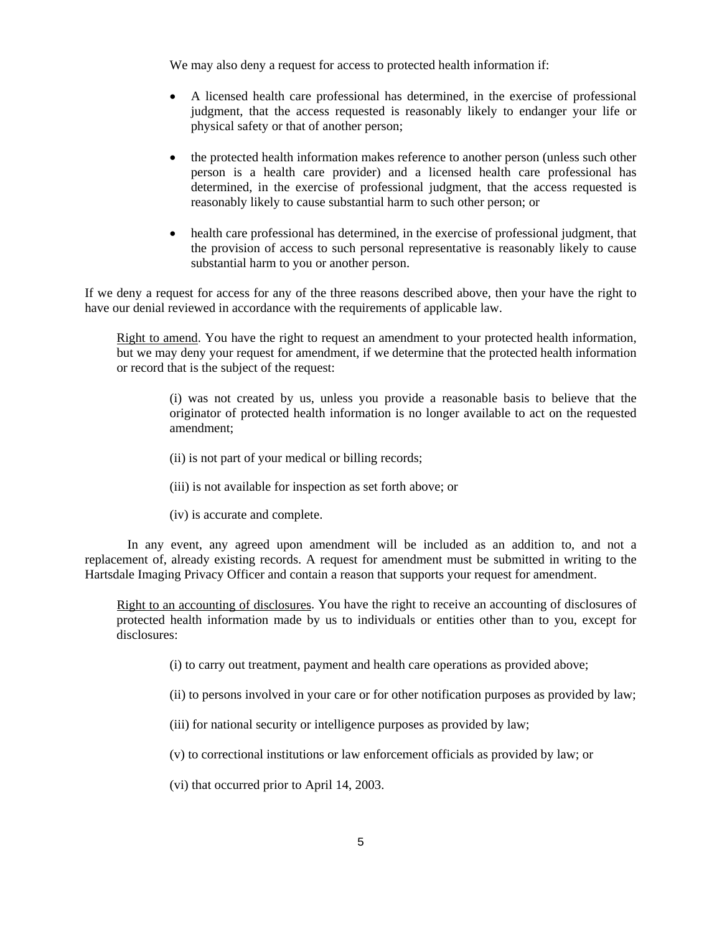We may also deny a request for access to protected health information if:

- A licensed health care professional has determined, in the exercise of professional judgment, that the access requested is reasonably likely to endanger your life or physical safety or that of another person;
- the protected health information makes reference to another person (unless such other person is a health care provider) and a licensed health care professional has determined, in the exercise of professional judgment, that the access requested is reasonably likely to cause substantial harm to such other person; or
- health care professional has determined, in the exercise of professional judgment, that the provision of access to such personal representative is reasonably likely to cause substantial harm to you or another person.

If we deny a request for access for any of the three reasons described above, then your have the right to have our denial reviewed in accordance with the requirements of applicable law.

Right to amend. You have the right to request an amendment to your protected health information, but we may deny your request for amendment, if we determine that the protected health information or record that is the subject of the request:

(i) was not created by us, unless you provide a reasonable basis to believe that the originator of protected health information is no longer available to act on the requested amendment;

- (ii) is not part of your medical or billing records;
- (iii) is not available for inspection as set forth above; or
- (iv) is accurate and complete.

In any event, any agreed upon amendment will be included as an addition to, and not a replacement of, already existing records. A request for amendment must be submitted in writing to the Hartsdale Imaging Privacy Officer and contain a reason that supports your request for amendment.

Right to an accounting of disclosures. You have the right to receive an accounting of disclosures of protected health information made by us to individuals or entities other than to you, except for disclosures:

(i) to carry out treatment, payment and health care operations as provided above;

(ii) to persons involved in your care or for other notification purposes as provided by law;

(iii) for national security or intelligence purposes as provided by law;

(v) to correctional institutions or law enforcement officials as provided by law; or

(vi) that occurred prior to April 14, 2003.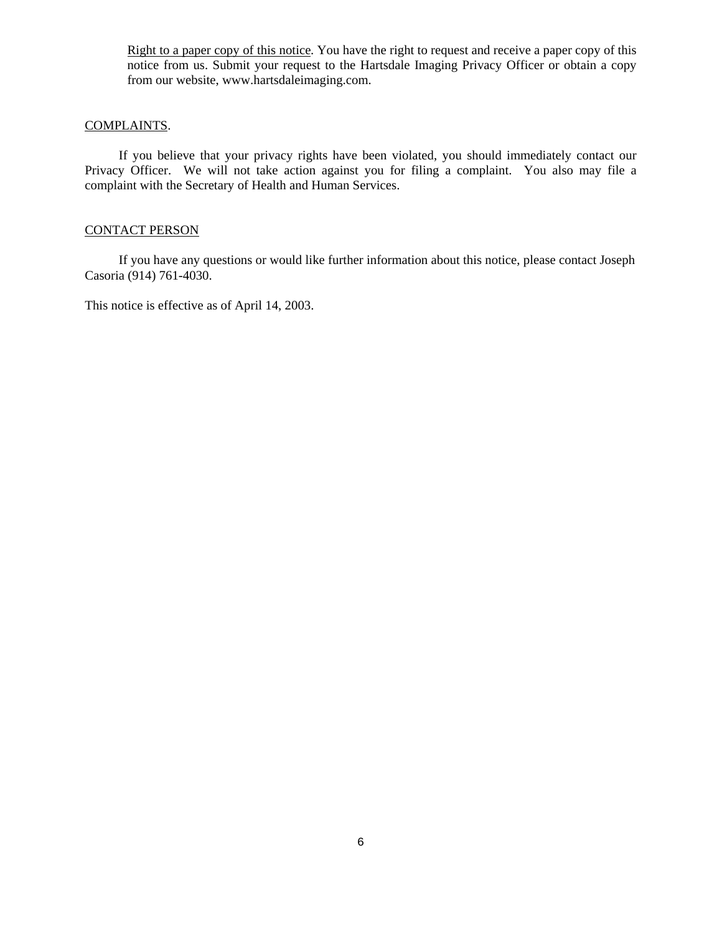Right to a paper copy of this notice. You have the right to request and receive a paper copy of this notice from us. Submit your request to the Hartsdale Imaging Privacy Officer or obtain a copy from our website, www.hartsdaleimaging.com.

# COMPLAINTS.

If you believe that your privacy rights have been violated, you should immediately contact our Privacy Officer. We will not take action against you for filing a complaint. You also may file a complaint with the Secretary of Health and Human Services.

## CONTACT PERSON

If you have any questions or would like further information about this notice, please contact Joseph Casoria (914) 761-4030.

This notice is effective as of April 14, 2003.